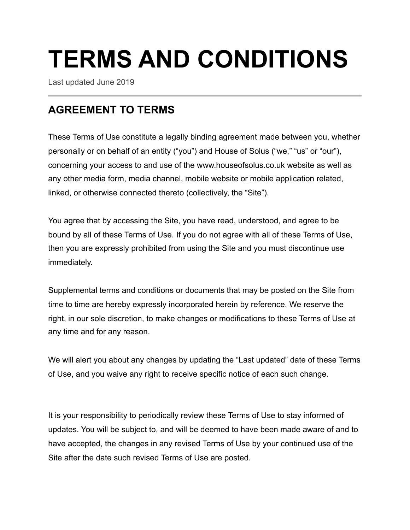# **TERMS AND CONDITIONS**

Last updated June 2019

## **AGREEMENT TO TERMS**

These Terms of Use constitute a legally binding agreement made between you, whether personally or on behalf of an entity ("you") and House of Solus ("we," "us" or "our"), concerning your access to and use of the www.houseofsolus.co.uk website as well as any other media form, media channel, mobile website or mobile application related, linked, or otherwise connected thereto (collectively, the "Site").

You agree that by accessing the Site, you have read, understood, and agree to be bound by all of these Terms of Use. If you do not agree with all of these Terms of Use, then you are expressly prohibited from using the Site and you must discontinue use immediately.

Supplemental terms and conditions or documents that may be posted on the Site from time to time are hereby expressly incorporated herein by reference. We reserve the right, in our sole discretion, to make changes or modifications to these Terms of Use at any time and for any reason.

We will alert you about any changes by updating the "Last updated" date of these Terms of Use, and you waive any right to receive specific notice of each such change.

It is your responsibility to periodically review these Terms of Use to stay informed of updates. You will be subject to, and will be deemed to have been made aware of and to have accepted, the changes in any revised Terms of Use by your continued use of the Site after the date such revised Terms of Use are posted.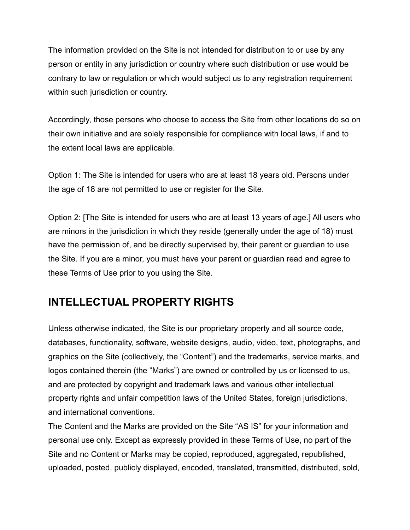The information provided on the Site is not intended for distribution to or use by any person or entity in any jurisdiction or country where such distribution or use would be contrary to law or regulation or which would subject us to any registration requirement within such jurisdiction or country.

Accordingly, those persons who choose to access the Site from other locations do so on their own initiative and are solely responsible for compliance with local laws, if and to the extent local laws are applicable.

Option 1: The Site is intended for users who are at least 18 years old. Persons under the age of 18 are not permitted to use or register for the Site.

Option 2: [The Site is intended for users who are at least 13 years of age.] All users who are minors in the jurisdiction in which they reside (generally under the age of 18) must have the permission of, and be directly supervised by, their parent or guardian to use the Site. If you are a minor, you must have your parent or guardian read and agree to these Terms of Use prior to you using the Site.

# **INTELLECTUAL PROPERTY RIGHTS**

Unless otherwise indicated, the Site is our proprietary property and all source code, databases, functionality, software, website designs, audio, video, text, photographs, and graphics on the Site (collectively, the "Content") and the trademarks, service marks, and logos contained therein (the "Marks") are owned or controlled by us or licensed to us, and are protected by copyright and trademark laws and various other intellectual property rights and unfair competition laws of the United States, foreign jurisdictions, and international conventions.

The Content and the Marks are provided on the Site "AS IS" for your information and personal use only. Except as expressly provided in these Terms of Use, no part of the Site and no Content or Marks may be copied, reproduced, aggregated, republished, uploaded, posted, publicly displayed, encoded, translated, transmitted, distributed, sold,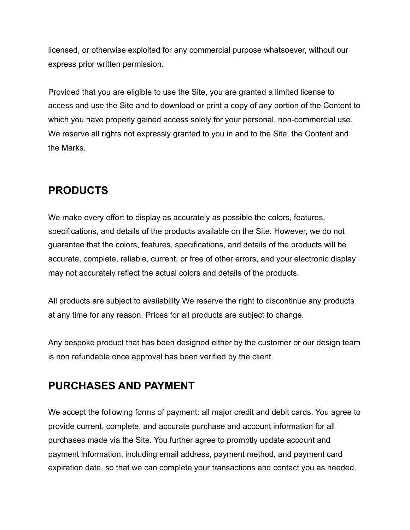licensed, or otherwise exploited for any commercial purpose whatsoever, without our express prior written permission.

Provided that you are eligible to use the Site, you are granted a limited license to access and use the Site and to download or print a copy of any portion of the Content to which you have properly gained access solely for your personal, non-commercial use. We reserve all rights not expressly granted to you in and to the Site, the Content and the Marks.

#### **PRODUCTS**

We make every effort to display as accurately as possible the colors, features, specifications, and details of the products available on the Site. However, we do not guarantee that the colors, features, specifications, and details of the products will be accurate, complete, reliable, current, or free of other errors, and your electronic display may not accurately reflect the actual colors and details of the products.

All products are subject to availability We reserve the right to discontinue any products at any time for any reason. Prices for all products are subject to change.

Any bespoke product that has been designed either by the customer or our design team is non refundable once approval has been verified by the client.

#### **PURCHASES AND PAYMENT**

We accept the following forms of payment: all major credit and debit cards. You agree to provide current, complete, and accurate purchase and account information for all purchases made via the Site. You further agree to promptly update account and payment information, including email address, payment method, and payment card expiration date, so that we can complete your transactions and contact you as needed.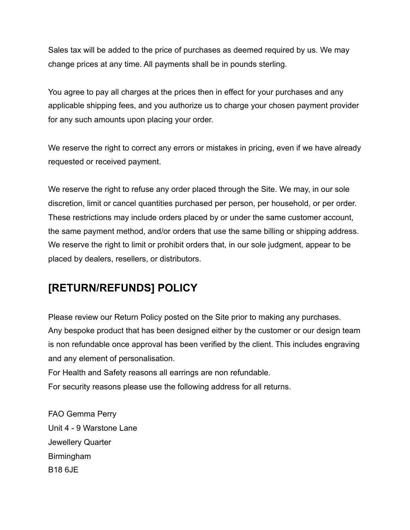Sales tax will be added to the price of purchases as deemed required by us. We may change prices at any time. All payments shall be in pounds sterling.

You agree to pay all charges at the prices then in effect for your purchases and any applicable shipping fees, and you authorize us to charge your chosen payment provider for any such amounts upon placing your order.

We reserve the right to correct any errors or mistakes in pricing, even if we have already requested or received payment.

We reserve the right to refuse any order placed through the Site. We may, in our sole discretion, limit or cancel quantities purchased per person, per household, or per order. These restrictions may include orders placed by or under the same customer account, the same payment method, and/or orders that use the same billing or shipping address. We reserve the right to limit or prohibit orders that, in our sole judgment, appear to be placed by dealers, resellers, or distributors.

#### **[RETURN/REFUNDS] POLICY**

Please review our Return Policy posted on the Site prior to making any purchases. Any bespoke product that has been designed either by the customer or our design team is non refundable once approval has been verified by the client. This includes engraving and any element of personalisation.

For Health and Safety reasons all earrings are non refundable.

For security reasons please use the following address for all returns.

FAO Gemma Perry Unit 4 - 9 Warstone Lane Jewellery Quarter Birmingham B18 6JE